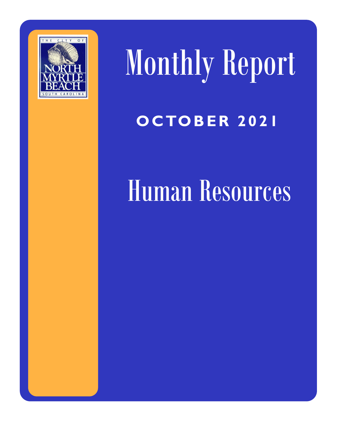

Monthly Report **O C TO B E R 2 0 2 1**

## Human Resources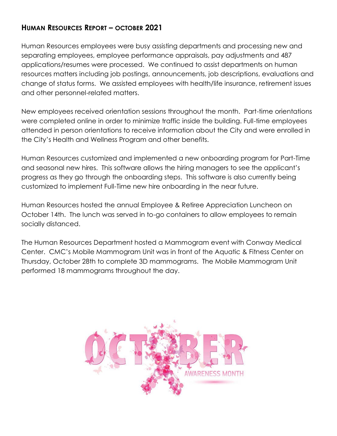## **HUMAN RESOURCES REPORT – OCTOBER 2021**

Human Resources employees were busy assisting departments and processing new and separating employees, employee performance appraisals, pay adjustments and 487 applications/resumes were processed. We continued to assist departments on human resources matters including job postings, announcements, job descriptions, evaluations and change of status forms. We assisted employees with health/life insurance, retirement issues and other personnel-related matters.

New employees received orientation sessions throughout the month. Part-time orientations were completed online in order to minimize traffic inside the building. Full-time employees attended in person orientations to receive information about the City and were enrolled in the City's Health and Wellness Program and other benefits.

Human Resources customized and implemented a new onboarding program for Part-Time and seasonal new hires. This software allows the hiring managers to see the applicant's progress as they go through the onboarding steps. This software is also currently being customized to implement Full-Time new hire onboarding in the near future.

Human Resources hosted the annual Employee & Retiree Appreciation Luncheon on October 14th. The lunch was served in to-go containers to allow employees to remain socially distanced.

The Human Resources Department hosted a Mammogram event with Conway Medical Center. CMC's Mobile Mammogram Unit was in front of the Aquatic & Fitness Center on Thursday, October 28th to complete 3D mammograms. The Mobile Mammogram Unit performed 18 mammograms throughout the day.

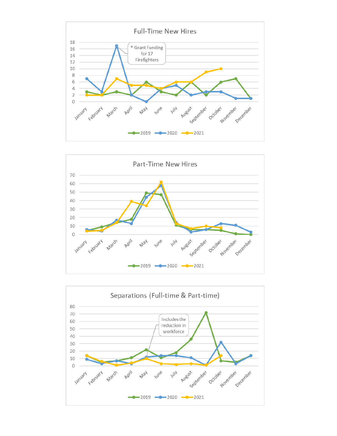



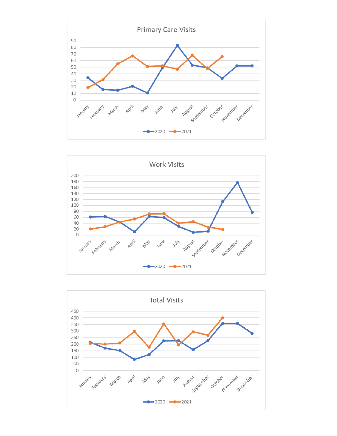